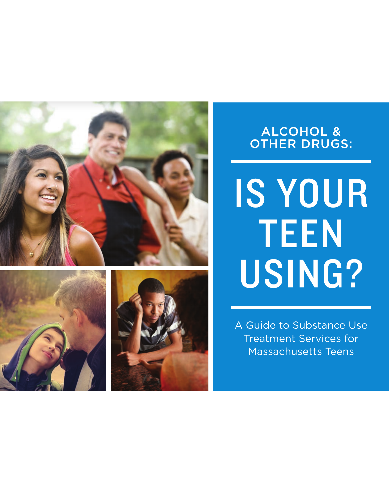



# IS YOUR TEEN USING?

A Guide to Substance Use Treatment Services for Massachusetts Teens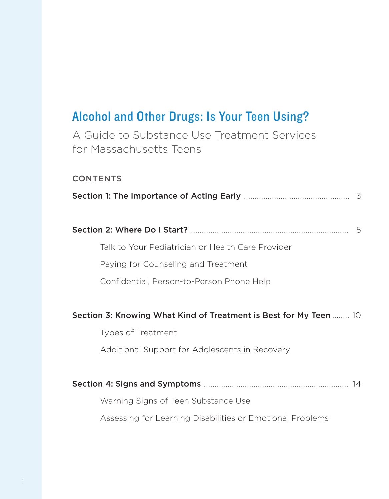# Alcohol and Other Drugs: Is Your Teen Using?

A Guide to Substance Use Treatment Services for Massachusetts Teens

#### CONTENTS

|--|--|--|

Talk to Your Pediatrician or Health Care Provider

Paying for Counseling and Treatment

Confidential, Person-to-Person Phone Help

#### Section 3: Knowing What Kind of Treatment is Best for My Teen ......... 10

Types of Treatment Additional Support for Adolescents in Recovery

|                                                           | 14 |
|-----------------------------------------------------------|----|
| Warning Signs of Teen Substance Use                       |    |
| Assessing for Learning Disabilities or Emotional Problems |    |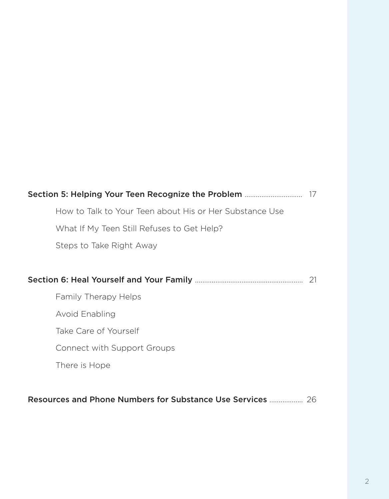| Section 5: Helping Your Teen Recognize the Problem |                                                         |     |
|----------------------------------------------------|---------------------------------------------------------|-----|
|                                                    | How to Talk to Your Teen about His or Her Substance Use |     |
|                                                    | What If My Teen Still Refuses to Get Help?              |     |
|                                                    | Steps to Take Right Away                                |     |
|                                                    |                                                         |     |
|                                                    |                                                         | -21 |
|                                                    | Family Therapy Helps                                    |     |
|                                                    | <b>Avoid Enabling</b>                                   |     |
|                                                    | Take Care of Yourself                                   |     |
|                                                    | Connect with Support Groups                             |     |
|                                                    | There is Hope                                           |     |
|                                                    |                                                         |     |

### Resources and Phone Numbers for Substance Use Services …............... 26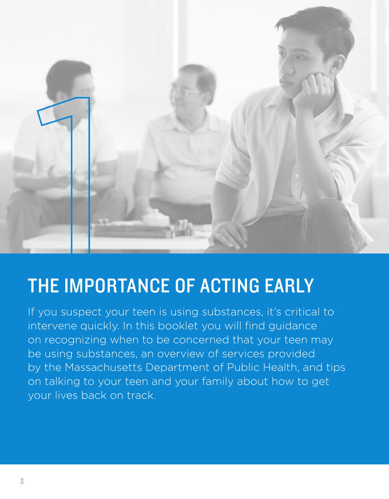

# THE IMPORTANCE OF ACTING EARLY

If you suspect your teen is using substances, it's critical to intervene quickly. In this booklet you will find guidance on recognizing when to be concerned that your teen may be using substances, an overview of services provided by the Massachusetts Department of Public Health, and tips on talking to your teen and your family about how to get your lives back on track.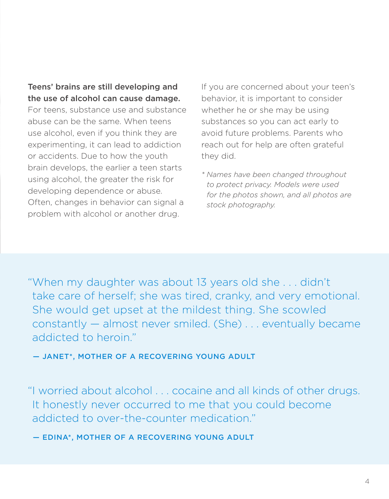### Teens' brains are still developing and the use of alcohol can cause damage.

For teens, substance use and substance abuse can be the same. When teens use alcohol, even if you think they are experimenting, it can lead to addiction or accidents. Due to how the youth brain develops, the earlier a teen starts using alcohol, the greater the risk for developing dependence or abuse. Often, changes in behavior can signal a problem with alcohol or another drug.

If you are concerned about your teen's behavior, it is important to consider whether he or she may be using substances so you can act early to avoid future problems. Parents who reach out for help are often grateful they did.

*\* Names have been changed throughout to protect privacy. Models were used for the photos shown, and all photos are stock photography.*

"When my daughter was about 13 years old she . . . didn't take care of herself; she was tired, cranky, and very emotional. She would get upset at the mildest thing. She scowled constantly — almost never smiled. (She) . . . eventually became addicted to heroin."

— JANET\*, MOTHER OF A RECOVERING YOUNG ADULT

"I worried about alcohol . . . cocaine and all kinds of other drugs. It honestly never occurred to me that you could become addicted to over-the-counter medication."

— EDINA\*, MOTHER OF A RECOVERING YOUNG ADULT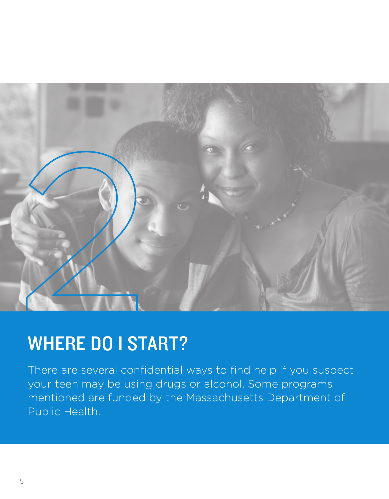

# WHERE DO I START?

There are several confidential ways to find help if you suspect your teen may be using drugs or alcohol. Some programs mentioned are funded by the Massachusetts Department of Public Health.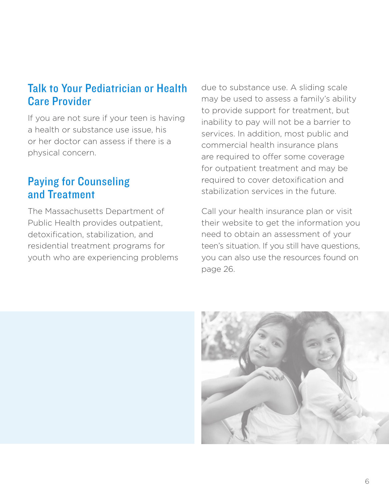# Talk to Your Pediatrician or Health Care Provider

If you are not sure if your teen is having a health or substance use issue, his or her doctor can assess if there is a physical concern.

# Paying for Counseling and Treatment

The Massachusetts Department of Public Health provides outpatient, detoxification, stabilization, and residential treatment programs for youth who are experiencing problems due to substance use. A sliding scale may be used to assess a family's ability to provide support for treatment, but inability to pay will not be a barrier to services. In addition, most public and commercial health insurance plans are required to offer some coverage for outpatient treatment and may be required to cover detoxification and stabilization services in the future.

Call your health insurance plan or visit their website to get the information you need to obtain an assessment of your teen's situation. If you still have questions, you can also use the resources found on page 26.

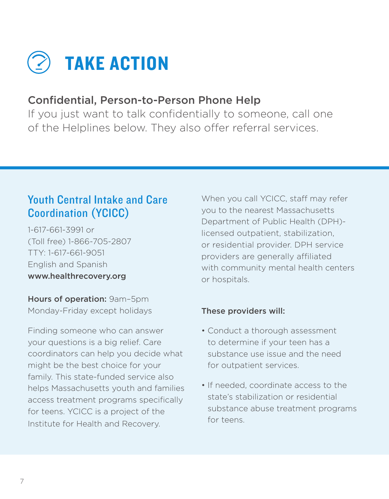

### Confidential, Person-to-Person Phone Help

If you just want to talk confidentially to someone, call one of the Helplines below. They also offer referral services.

# Youth Central Intake and Care Coordination (YCICC)

1-617-661-3991 or (Toll free) 1-866-705-2807 TTY: 1-617-661-9051 English and Spanish www.healthrecovery.org

Hours of operation: 9am–5pm Monday-Friday except holidays

Finding someone who can answer your questions is a big relief. Care coordinators can help you decide what might be the best choice for your family. This state-funded service also helps Massachusetts youth and families access treatment programs specifically for teens. YCICC is a project of the Institute for Health and Recovery.

When you call YCICC, staff may refer you to the nearest Massachusetts Department of Public Health (DPH) licensed outpatient, stabilization, or residential provider. DPH service providers are generally affiliated with community mental health centers or hospitals.

### These providers will:

- Conduct a thorough assessment to determine if your teen has a substance use issue and the need for outpatient services.
- If needed, coordinate access to the state's stabilization or residential substance abuse treatment programs for teens.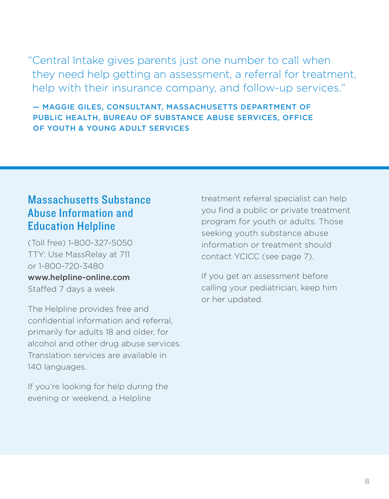"Central Intake gives parents just one number to call when they need help getting an assessment, a referral for treatment, help with their insurance company, and follow-up services."

 — MAGGIE GILES, CONSULTANT, MASSACHUSETTS DEPARTMENT OF PUBLIC HEALTH, BUREAU OF SUBSTANCE ABUSE SERVICES, OFFICE OF YOUTH & YOUNG ADULT SERVICES

# Massachusetts Substance Abuse Information and Education Helpline

(Toll free) 1-800-327-5050 TTY: Use MassRelay at 711 or 1-800-720-3480 www.helpline-online.com Staffed 7 days a week

The Helpline provides free and confidential information and referral, primarily for adults 18 and older, for alcohol and other drug abuse services. Translation services are available in 140 languages.

If you're looking for help during the evening or weekend, a Helpline

treatment referral specialist can help you find a public or private treatment program for youth or adults. Those seeking youth substance abuse information or treatment should contact YCICC (see page 7).

If you get an assessment before calling your pediatrician, keep him or her updated.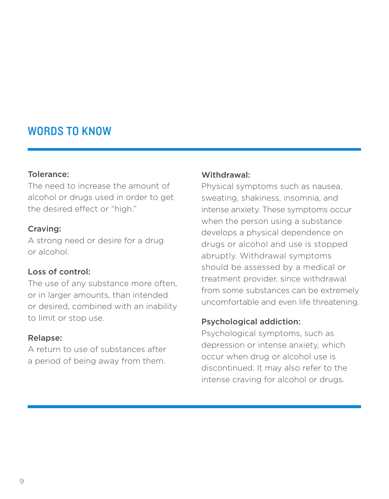# WORDS TO KNOW

#### Tolerance:

The need to increase the amount of alcohol or drugs used in order to get the desired effect or "high."

#### Craving:

A strong need or desire for a drug or alcohol.

#### Loss of control:

The use of any substance more often, or in larger amounts, than intended or desired, combined with an inability to limit or stop use.

#### Relapse:

A return to use of substances after a period of being away from them.

#### Withdrawal:

Physical symptoms such as nausea, sweating, shakiness, insomnia, and intense anxiety. These symptoms occur when the person using a substance develops a physical dependence on drugs or alcohol and use is stopped abruptly. Withdrawal symptoms should be assessed by a medical or treatment provider, since withdrawal from some substances can be extremely uncomfortable and even life threatening.

#### Psychological addiction:

Psychological symptoms, such as depression or intense anxiety, which occur when drug or alcohol use is discontinued. It may also refer to the intense craving for alcohol or drugs.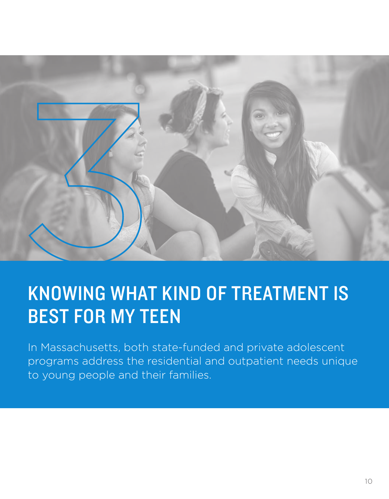

# KNOWING WHAT KIND OF TREATMENT IS BEST FOR MY TEEN

In Massachusetts, both state-funded and private adolescent programs address the residential and outpatient needs unique to young people and their families.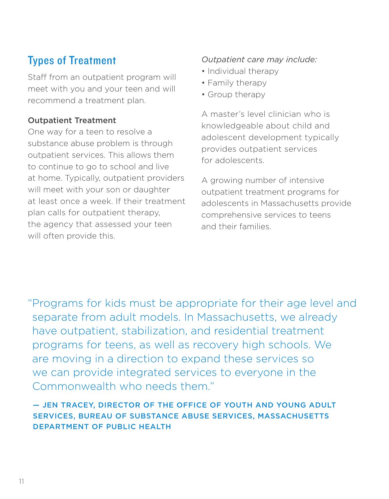# Types of Treatment

Staff from an outpatient program will meet with you and your teen and will recommend a treatment plan.

### Outpatient Treatment

One way for a teen to resolve a substance abuse problem is through outpatient services. This allows them to continue to go to school and live at home. Typically, outpatient providers will meet with your son or daughter at least once a week. If their treatment plan calls for outpatient therapy, the agency that assessed your teen will often provide this.

### *Outpatient care may include:*

- Individual therapy
- Family therapy
- Group therapy

A master's level clinician who is knowledgeable about child and adolescent development typically provides outpatient services for adolescents.

A growing number of intensive outpatient treatment programs for adolescents in Massachusetts provide comprehensive services to teens and their families.

"Programs for kids must be appropriate for their age level and separate from adult models. In Massachusetts, we already have outpatient, stabilization, and residential treatment programs for teens, as well as recovery high schools. We are moving in a direction to expand these services so we can provide integrated services to everyone in the Commonwealth who needs them."

### — JEN TRACEY, DIRECTOR OF THE OFFICE OF YOUTH AND YOUNG ADULT SERVICES, BUREAU OF SUBSTANCE ABUSE SERVICES, MASSACHUSETTS DEPARTMENT OF PUBLIC HEALTH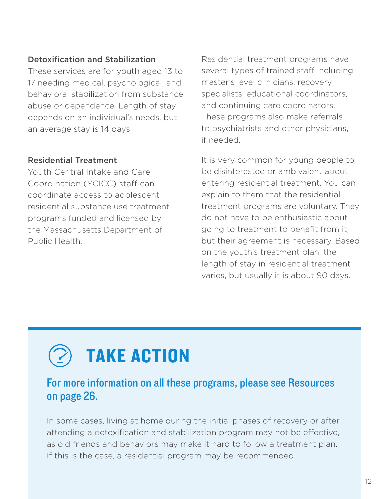### Detoxification and Stabilization

These services are for youth aged 13 to 17 needing medical, psychological, and behavioral stabilization from substance abuse or dependence. Length of stay depends on an individual's needs, but an average stay is 14 days.

### Residential Treatment

Youth Central Intake and Care Coordination (YCICC) staff can coordinate access to adolescent residential substance use treatment programs funded and licensed by the Massachusetts Department of Public Health.

Residential treatment programs have several types of trained staff including master's level clinicians, recovery specialists, educational coordinators, and continuing care coordinators. These programs also make referrals to psychiatrists and other physicians, if needed.

It is very common for young people to be disinterested or ambivalent about entering residential treatment. You can explain to them that the residential treatment programs are voluntary. They do not have to be enthusiastic about going to treatment to benefit from it, but their agreement is necessary. Based on the youth's treatment plan, the length of stay in residential treatment varies, but usually it is about 90 days.

# TAKE ACTION

### For more information on all these programs, please see Resources on page 26.

In some cases, living at home during the initial phases of recovery or after attending a detoxification and stabilization program may not be effective, as old friends and behaviors may make it hard to follow a treatment plan. If this is the case, a residential program may be recommended.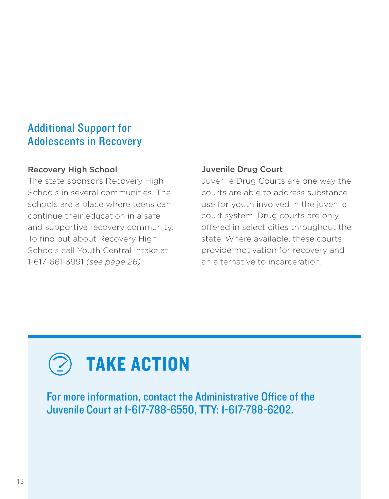# Additional Support for Adolescents in Recovery

### Recovery High School

The state sponsors Recovery High Schools in several communities. The schools are a place where teens can continue their education in a safe and supportive recovery community. To find out about Recovery High Schools call Youth Central Intake at 1-617-661-3991 *(see page 26)*.

### Juvenile Drug Court

Juvenile Drug Courts are one way the courts are able to address substance use for youth involved in the juvenile court system. Drug courts are only offered in select cities throughout the state. Where available, these courts provide motivation for recovery and an alternative to incarceration.



For more information, contact the Administrative Office of the Juvenile Court at 1-617-788-6550, TTY: 1-617-788-6202.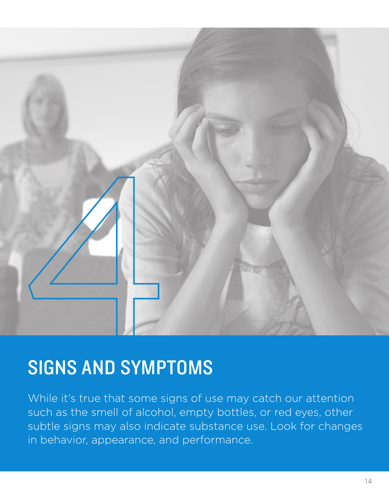

# SIGNS AND SYMPTOMS

While it's true that some signs of use may catch our attention such as the smell of alcohol, empty bottles, or red eyes, other subtle signs may also indicate substance use. Look for changes in behavior, appearance, and performance.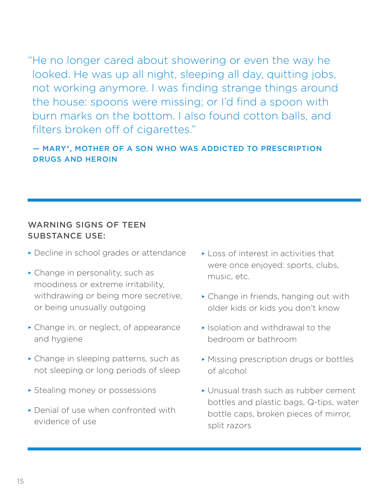"He no longer cared about showering or even the way he looked. He was up all night, sleeping all day, quitting jobs, not working anymore. I was finding strange things around the house: spoons were missing; or I'd find a spoon with burn marks on the bottom. I also found cotton balls, and filters broken off of cigarettes."

### — MARY\*, MOTHER OF A SON WHO WAS ADDICTED TO PRESCRIPTION DRUGS AND HEROIN

### WARNING SIGNS OF TEEN SUBSTANCE USE:

- ≥ Decline in school grades or attendance
- ≥ Change in personality, such as moodiness or extreme irritability, withdrawing or being more secretive, or being unusually outgoing
- ≥ Change in, or neglect, of appearance and hygiene
- ≥ Change in sleeping patterns, such as not sleeping or long periods of sleep
- ≥ Stealing money or possessions
- ≥ Denial of use when confronted with evidence of use
- ≥ Loss of interest in activities that were once enjoyed: sports, clubs, music, etc.
- ≥ Change in friends, hanging out with older kids or kids you don't know
- ≥ Isolation and withdrawal to the bedroom or bathroom
- ≥ Missing prescription drugs or bottles of alcohol
- ≥ Unusual trash such as rubber cement bottles and plastic bags, Q-tips, water bottle caps, broken pieces of mirror, split razors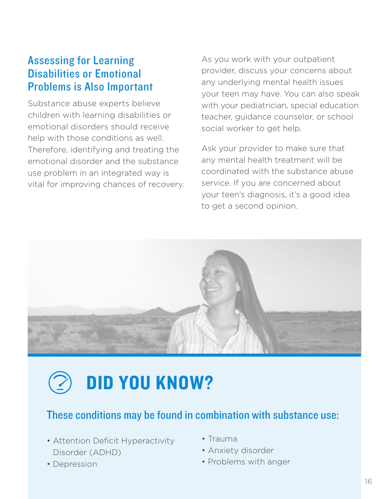### Assessing for Learning Disabilities or Emotional Problems is Also Important

Substance abuse experts believe children with learning disabilities or emotional disorders should receive help with those conditions as well. Therefore, identifying and treating the emotional disorder and the substance use problem in an integrated way is vital for improving chances of recovery.

As you work with your outpatient provider, discuss your concerns about any underlying mental health issues your teen may have. You can also speak with your pediatrician, special education teacher, guidance counselor, or school social worker to get help.

Ask your provider to make sure that any mental health treatment will be coordinated with the substance abuse service. If you are concerned about your teen's diagnosis, it's a good idea to get a second opinion.



# DID YOU KNOW?

# These conditions may be found in combination with substance use:

- Attention Deficit Hyperactivity Disorder (ADHD)
- Depression
- Trauma
- Anxiety disorder
- Problems with anger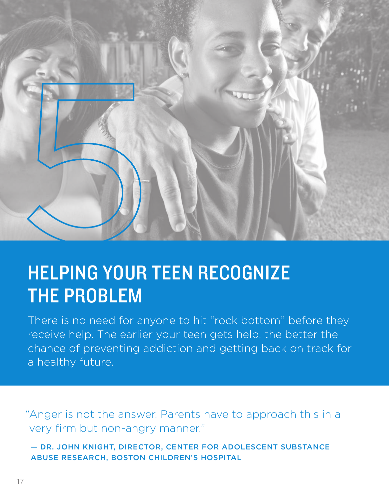

# HELPING YOUR TEEN RECOGNIZE THE PROBLEM

There is no need for anyone to hit "rock bottom" before they receive help. The earlier your teen gets help, the better the chance of preventing addiction and getting back on track for a healthy future.

"Anger is not the answer. Parents have to approach this in a very firm but non-angry manner."

 — DR. JOHN KNIGHT, DIRECTOR, CENTER FOR ADOLESCENT SUBSTANCE ABUSE RESEARCH, BOSTON CHILDREN'S HOSPITAL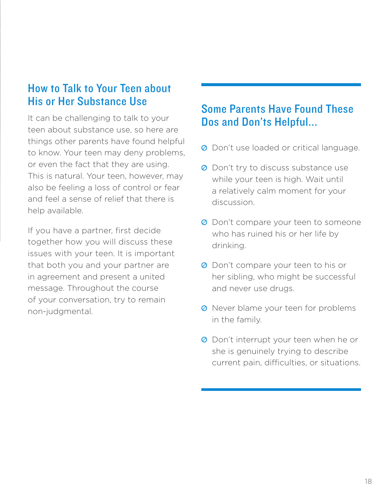# How to Talk to Your Teen about His or Her Substance Use

It can be challenging to talk to your teen about substance use, so here are things other parents have found helpful to know. Your teen may deny problems, or even the fact that they are using. This is natural. Your teen, however, may also be feeling a loss of control or fear and feel a sense of relief that there is help available.

If you have a partner, first decide together how you will discuss these issues with your teen. It is important that both you and your partner are in agreement and present a united message. Throughout the course of your conversation, try to remain non-judgmental.

# Some Parents Have Found These Dos and Don'ts Helpful...

- <sup>O</sup> Don't use loaded or critical language.
- <sup>O</sup> Don't try to discuss substance use while your teen is high. Wait until a relatively calm moment for your discussion.
- **⊘** Don't compare your teen to someone who has ruined his or her life by drinking.
- **O** Don't compare your teen to his or her sibling, who might be successful and never use drugs.
- **O** Never blame your teen for problems in the family.
- **O** Don't interrupt your teen when he or she is genuinely trying to describe current pain, difficulties, or situations.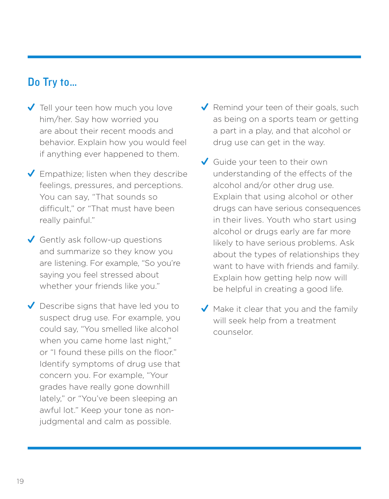### Do Try to…

- ◆ Tell your teen how much you love him/her. Say how worried you are about their recent moods and behavior. Explain how you would feel if anything ever happened to them.
- $\blacktriangleright$  Empathize; listen when they describe feelings, pressures, and perceptions. You can say, "That sounds so difficult," or "That must have been really painful."
- Gently ask follow-up questions and summarize so they know you are listening. For example, "So you're saying you feel stressed about whether your friends like you."
- Describe signs that have led you to suspect drug use. For example, you could say, "You smelled like alcohol when you came home last night," or "I found these pills on the floor." Identify symptoms of drug use that concern you. For example, "Your grades have really gone downhill lately," or "You've been sleeping an awful lot." Keep your tone as nonjudgmental and calm as possible.
- Remind your teen of their goals, such as being on a sports team or getting a part in a play, and that alcohol or drug use can get in the way.
- Guide your teen to their own understanding of the effects of the alcohol and/or other drug use. Explain that using alcohol or other drugs can have serious consequences in their lives. Youth who start using alcohol or drugs early are far more likely to have serious problems. Ask about the types of relationships they want to have with friends and family. Explain how getting help now will be helpful in creating a good life.
- $\blacktriangledown$  Make it clear that you and the family will seek help from a treatment counselor.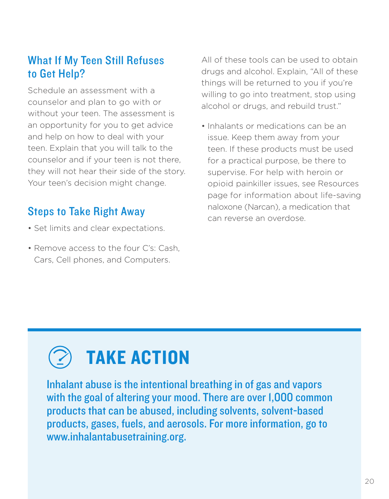# What If My Teen Still Refuses to Get Help?

Schedule an assessment with a counselor and plan to go with or without your teen. The assessment is an opportunity for you to get advice and help on how to deal with your teen. Explain that you will talk to the counselor and if your teen is not there, they will not hear their side of the story. Your teen's decision might change.

# Steps to Take Right Away

- Set limits and clear expectations.
- Remove access to the four C's: Cash, Cars, Cell phones, and Computers.

All of these tools can be used to obtain drugs and alcohol. Explain, "All of these things will be returned to you if you're willing to go into treatment, stop using alcohol or drugs, and rebuild trust."

• Inhalants or medications can be an issue. Keep them away from your teen. If these products must be used for a practical purpose, be there to supervise. For help with heroin or opioid painkiller issues, see Resources page for information about life-saving naloxone (Narcan), a medication that can reverse an overdose.

# TAKE ACTION

Inhalant abuse is the intentional breathing in of gas and vapors with the goal of altering your mood. There are over 1,000 common products that can be abused, including solvents, solvent-based products, gases, fuels, and aerosols. For more information, go to www.inhalantabusetraining.org.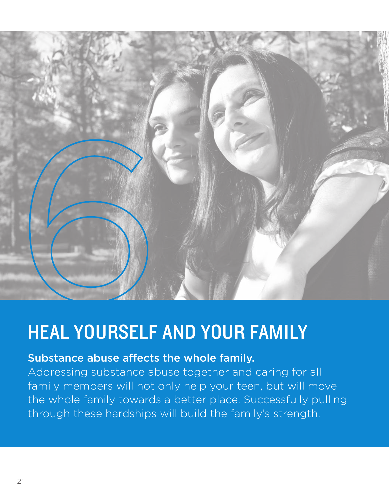

# HEAL YOURSELF AND YOUR FAMILY

### Substance abuse affects the whole family.

Addressing substance abuse together and caring for all family members will not only help your teen, but will move the whole family towards a better place. Successfully pulling through these hardships will build the family's strength.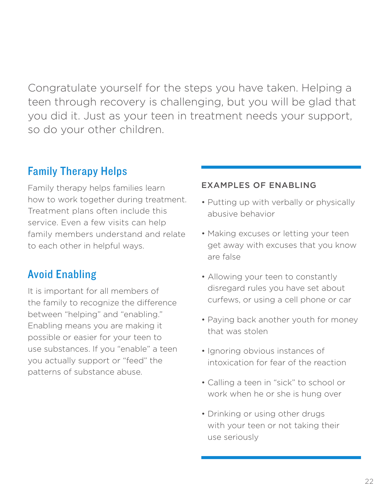Congratulate yourself for the steps you have taken. Helping a teen through recovery is challenging, but you will be glad that you did it. Just as your teen in treatment needs your support, so do your other children.

# Family Therapy Helps

Family therapy helps families learn how to work together during treatment. Treatment plans often include this service. Even a few visits can help family members understand and relate to each other in helpful ways.

# Avoid Enabling

It is important for all members of the family to recognize the difference between "helping" and "enabling." Enabling means you are making it possible or easier for your teen to use substances. If you "enable" a teen you actually support or "feed" the patterns of substance abuse.

### EXAMPLES OF ENABLING

- Putting up with verbally or physically abusive behavior
- Making excuses or letting your teen get away with excuses that you know are false
- Allowing your teen to constantly disregard rules you have set about curfews, or using a cell phone or car
- Paying back another youth for money that was stolen
- Ignoring obvious instances of intoxication for fear of the reaction
- Calling a teen in "sick" to school or work when he or she is hung over
- Drinking or using other drugs with your teen or not taking their use seriously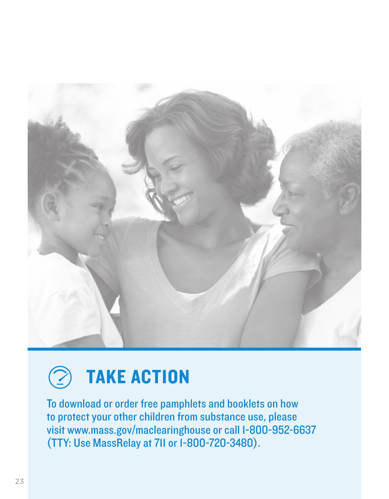



To download or order free pamphlets and booklets on how to protect your other children from substance use, please visit www.mass.gov/maclearinghouse or call 1-800-952-6637 (TTY: Use MassRelay at 711 or 1-800-720-3480).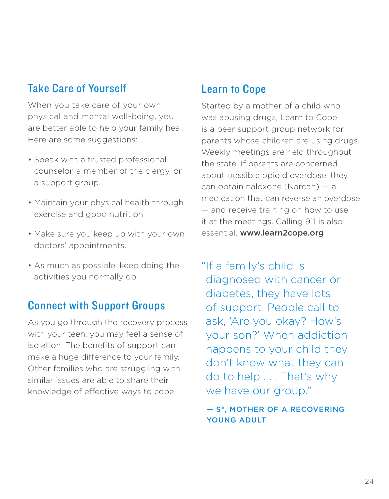# Take Care of Yourself

When you take care of your own physical and mental well-being, you are better able to help your family heal. Here are some suggestions:

- Speak with a trusted professional counselor, a member of the clergy, or a support group.
- Maintain your physical health through exercise and good nutrition.
- Make sure you keep up with your own doctors' appointments.
- As much as possible, keep doing the activities you normally do.

### Connect with Support Groups

As you go through the recovery process with your teen, you may feel a sense of isolation. The benefits of support can make a huge difference to your family. Other families who are struggling with similar issues are able to share their knowledge of effective ways to cope.

# Learn to Cope

Started by a mother of a child who was abusing drugs, Learn to Cope is a peer support group network for parents whose children are using drugs. Weekly meetings are held throughout the state. If parents are concerned about possible opioid overdose, they can obtain naloxone (Narcan) — a medication that can reverse an overdose — and receive training on how to use it at the meetings. Calling 911 is also essential. www.learn2cope.org

"If a family's child is diagnosed with cancer or diabetes, they have lots of support. People call to ask, 'Are you okay? How's your son?' When addiction happens to your child they don't know what they can do to help . . . That's why we have our group."

 — S\*, MOTHER OF A RECOVERING YOUNG ADULT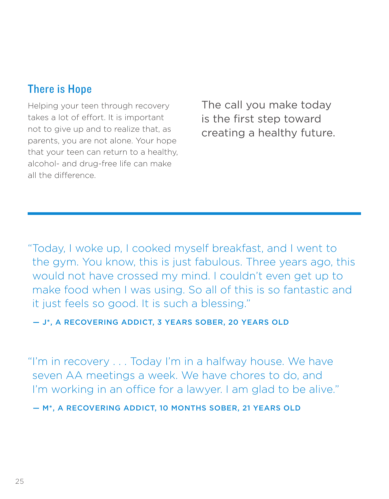# There is Hope

Helping your teen through recovery takes a lot of effort. It is important not to give up and to realize that, as parents, you are not alone. Your hope that your teen can return to a healthy, alcohol- and drug-free life can make all the difference.

The call you make today is the first step toward creating a healthy future.

"Today, I woke up, I cooked myself breakfast, and I went to the gym. You know, this is just fabulous. Three years ago, this would not have crossed my mind. I couldn't even get up to make food when I was using. So all of this is so fantastic and it just feels so good. It is such a blessing."

— J\*, A RECOVERING ADDICT, 3 YEARS SOBER, 20 YEARS OLD

"I'm in recovery . . . Today I'm in a halfway house. We have seven AA meetings a week. We have chores to do, and I'm working in an office for a lawyer. I am glad to be alive."

— M\*, A RECOVERING ADDICT, 10 MONTHS SOBER, 21 YEARS OLD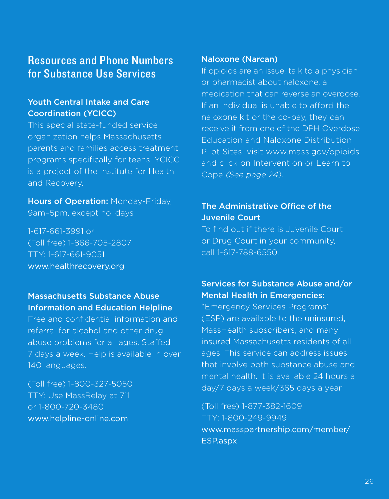### Resources and Phone Numbers for Substance Use Services

### Youth Central Intake and Care Coordination (YCICC)

This special state-funded service organization helps Massachusetts parents and families access treatment programs specifically for teens. YCICC is a project of the Institute for Health and Recovery.

Hours of Operation: Monday-Friday, 9am–5pm, except holidays

1-617-661-3991 or (Toll free) 1-866-705-2807 TTY: 1-617-661-9051 www.healthrecovery.org

### Massachusetts Substance Abuse Information and Education Helpline

Free and confidential information and referral for alcohol and other drug abuse problems for all ages. Staffed 7 days a week. Help is available in over 140 languages.

(Toll free) 1-800-327-5050 TTY: Use MassRelay at 711 or 1-800-720-3480 www.helpline-online.com

#### Naloxone (Narcan)

If opioids are an issue, talk to a physician or pharmacist about naloxone, a medication that can reverse an overdose. If an individual is unable to afford the naloxone kit or the co-pay, they can receive it from one of the DPH Overdose Education and Naloxone Distribution Pilot Sites; visit www.mass.gov/opioids and click on Intervention or Learn to Cope *(See page 24)*.

### The Administrative Office of the Juvenile Court

To find out if there is Juvenile Court or Drug Court in your community, call 1-617-788-6550.

### Services for Substance Abuse and/or Mental Health in Emergencies:

"Emergency Services Programs" (ESP) are available to the uninsured, MassHealth subscribers, and many insured Massachusetts residents of all ages. This service can address issues that involve both substance abuse and mental health. It is available 24 hours a day/7 days a week/365 days a year.

(Toll free) 1-877-382-1609 TTY: 1-800-249-9949 www.masspartnership.com/member/ ESP.aspx